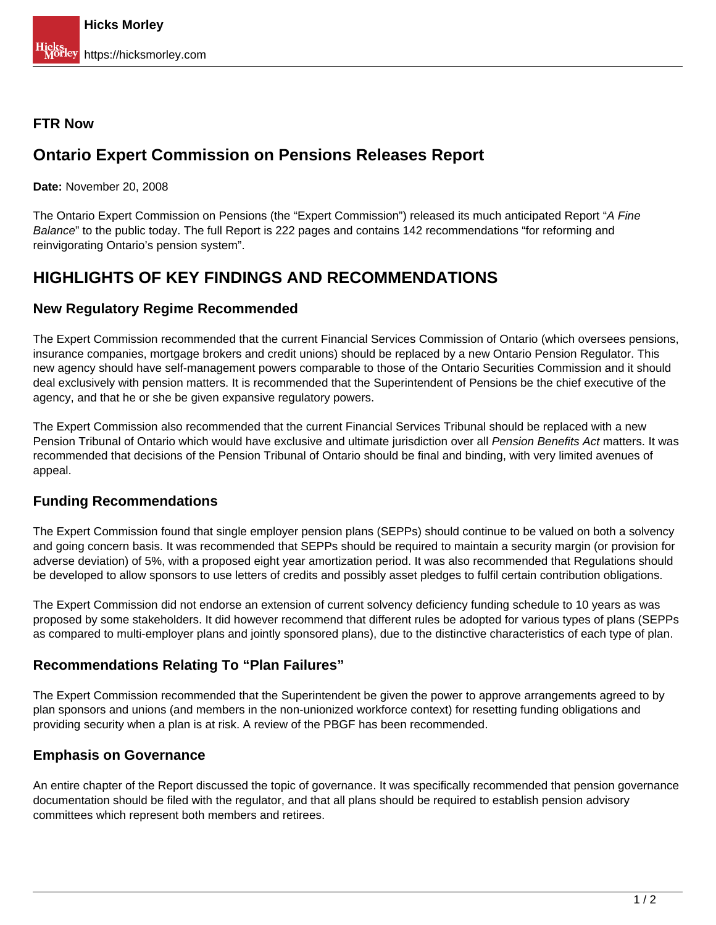#### **FTR Now**

## **Ontario Expert Commission on Pensions Releases Report**

**Date:** November 20, 2008

The Ontario Expert Commission on Pensions (the "Expert Commission") released its much anticipated Report "A Fine Balance" to the public today. The full Report is 222 pages and contains 142 recommendations "for reforming and reinvigorating Ontario's pension system".

### **HIGHLIGHTS OF KEY FINDINGS AND RECOMMENDATIONS**

#### **New Regulatory Regime Recommended**

The Expert Commission recommended that the current Financial Services Commission of Ontario (which oversees pensions, insurance companies, mortgage brokers and credit unions) should be replaced by a new Ontario Pension Regulator. This new agency should have self-management powers comparable to those of the Ontario Securities Commission and it should deal exclusively with pension matters. It is recommended that the Superintendent of Pensions be the chief executive of the agency, and that he or she be given expansive regulatory powers.

The Expert Commission also recommended that the current Financial Services Tribunal should be replaced with a new Pension Tribunal of Ontario which would have exclusive and ultimate jurisdiction over all Pension Benefits Act matters. It was recommended that decisions of the Pension Tribunal of Ontario should be final and binding, with very limited avenues of appeal.

#### **Funding Recommendations**

The Expert Commission found that single employer pension plans (SEPPs) should continue to be valued on both a solvency and going concern basis. It was recommended that SEPPs should be required to maintain a security margin (or provision for adverse deviation) of 5%, with a proposed eight year amortization period. It was also recommended that Regulations should be developed to allow sponsors to use letters of credits and possibly asset pledges to fulfil certain contribution obligations.

The Expert Commission did not endorse an extension of current solvency deficiency funding schedule to 10 years as was proposed by some stakeholders. It did however recommend that different rules be adopted for various types of plans (SEPPs as compared to multi-employer plans and jointly sponsored plans), due to the distinctive characteristics of each type of plan.

#### **Recommendations Relating To "Plan Failures"**

The Expert Commission recommended that the Superintendent be given the power to approve arrangements agreed to by plan sponsors and unions (and members in the non-unionized workforce context) for resetting funding obligations and providing security when a plan is at risk. A review of the PBGF has been recommended.

#### **Emphasis on Governance**

An entire chapter of the Report discussed the topic of governance. It was specifically recommended that pension governance documentation should be filed with the regulator, and that all plans should be required to establish pension advisory committees which represent both members and retirees.